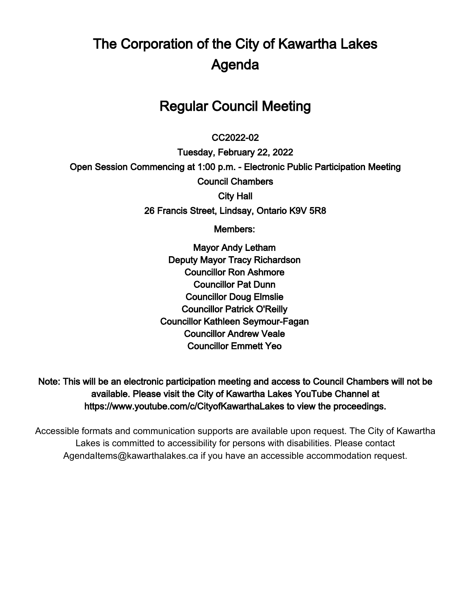# The Corporation of the City of Kawartha Lakes Agenda

# Regular Council Meeting

#### $\overline{a}$ CC2022-02

Tuesday, February 22, 2022 Open Session Commencing at 1:00 p.m. - Electronic Public Participation Meeting Council Chambers City Hall 26 Francis Street, Lindsay, Ontario K9V 5R8

Members:

Mayor Andy Letham Deputy Mayor Tracy Richardson Councillor Ron Ashmore Councillor Pat Dunn Councillor Doug Elmslie Councillor Patrick O'Reilly Councillor Kathleen Seymour-Fagan Councillor Andrew Veale Councillor Emmett Yeo

Note: This will be an electronic participation meeting and access to Council Chambers will not be available. Please visit the City of Kawartha Lakes YouTube Channel at https://www.youtube.com/c/CityofKawarthaLakes to view the proceedings.

Accessible formats and communication supports are available upon request. The City of Kawartha Lakes is committed to accessibility for persons with disabilities. Please contact AgendaItems@kawarthalakes.ca if you have an accessible accommodation request.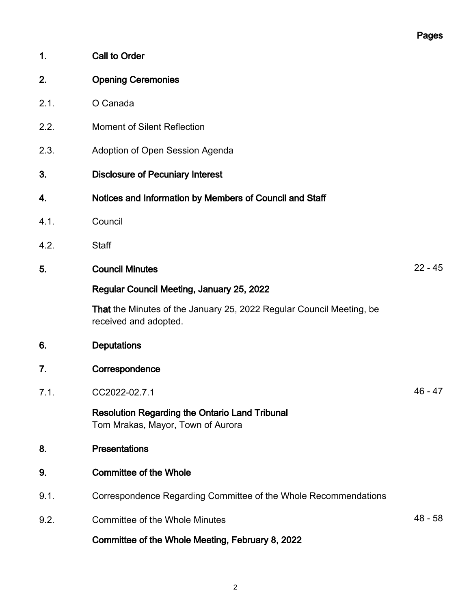| 1.   | Call to Order                                                                                 |           |
|------|-----------------------------------------------------------------------------------------------|-----------|
| 2.   | <b>Opening Ceremonies</b>                                                                     |           |
| 2.1. | O Canada                                                                                      |           |
| 2.2. | <b>Moment of Silent Reflection</b>                                                            |           |
| 2.3. | Adoption of Open Session Agenda                                                               |           |
| 3.   | <b>Disclosure of Pecuniary Interest</b>                                                       |           |
| 4.   | Notices and Information by Members of Council and Staff                                       |           |
| 4.1. | Council                                                                                       |           |
| 4.2. | <b>Staff</b>                                                                                  |           |
| 5.   | <b>Council Minutes</b>                                                                        | $22 - 45$ |
|      | Regular Council Meeting, January 25, 2022                                                     |           |
|      | That the Minutes of the January 25, 2022 Regular Council Meeting, be<br>received and adopted. |           |
| 6.   | <b>Deputations</b>                                                                            |           |
| 7.   | Correspondence                                                                                |           |
| 7.1. | CC2022-02.7.1                                                                                 | $46 - 47$ |
|      | <b>Resolution Regarding the Ontario Land Tribunal</b><br>Tom Mrakas, Mayor, Town of Aurora    |           |
| 8.   | <b>Presentations</b>                                                                          |           |
| 9.   | <b>Committee of the Whole</b>                                                                 |           |
|      |                                                                                               |           |

- 9.1. Correspondence Regarding Committee of the Whole Recommendations
- 9.2. Committee of the Whole Minutes **48** 58
	- Committee of the Whole Meeting, February 8, 2022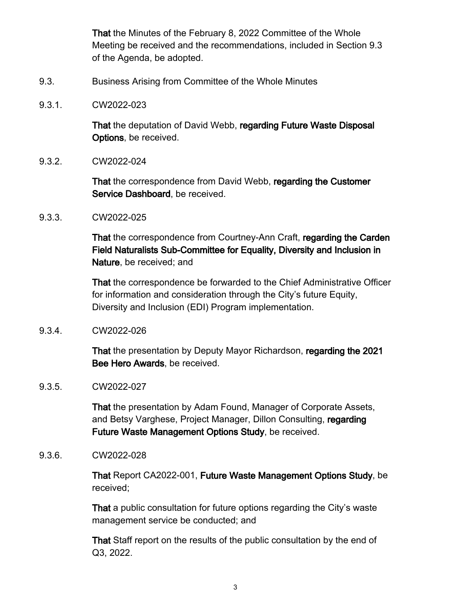That the Minutes of the February 8, 2022 Committee of the Whole Meeting be received and the recommendations, included in Section 9.3 of the Agenda, be adopted.

- 9.3. Business Arising from Committee of the Whole Minutes
- 9.3.1. CW2022-023

That the deputation of David Webb, regarding Future Waste Disposal Options, be received.

9.3.2. CW2022-024

That the correspondence from David Webb, regarding the Customer Service Dashboard, be received.

9.3.3. CW2022-025

That the correspondence from Courtney-Ann Craft, regarding the Carden Field Naturalists Sub-Committee for Equality, Diversity and Inclusion in Nature, be received; and

That the correspondence be forwarded to the Chief Administrative Officer for information and consideration through the City's future Equity, Diversity and Inclusion (EDI) Program implementation.

9.3.4. CW2022-026

That the presentation by Deputy Mayor Richardson, regarding the 2021 Bee Hero Awards, be received.

9.3.5. CW2022-027

That the presentation by Adam Found, Manager of Corporate Assets, and Betsy Varghese, Project Manager, Dillon Consulting, regarding Future Waste Management Options Study, be received.

9.3.6. CW2022-028

That Report CA2022-001, Future Waste Management Options Study, be received;

That a public consultation for future options regarding the City's waste management service be conducted; and

That Staff report on the results of the public consultation by the end of Q3, 2022.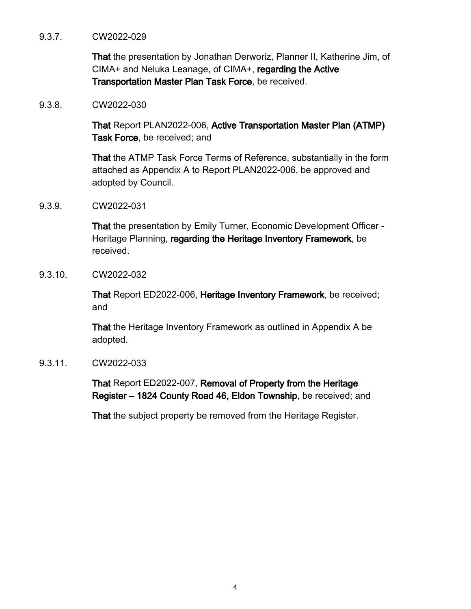#### 9.3.7. CW2022-029

That the presentation by Jonathan Derworiz, Planner II, Katherine Jim, of CIMA+ and Neluka Leanage, of CIMA+, regarding the Active Transportation Master Plan Task Force, be received.

9.3.8. CW2022-030

That Report PLAN2022-006, Active Transportation Master Plan (ATMP) Task Force, be received; and

That the ATMP Task Force Terms of Reference, substantially in the form attached as Appendix A to Report PLAN2022-006, be approved and adopted by Council.

9.3.9. CW2022-031

That the presentation by Emily Turner, Economic Development Officer - Heritage Planning, regarding the Heritage Inventory Framework, be received.

9.3.10. CW2022-032

That Report ED2022-006, Heritage Inventory Framework, be received; and

That the Heritage Inventory Framework as outlined in Appendix A be adopted.

9.3.11. CW2022-033

That Report ED2022-007, Removal of Property from the Heritage Register – 1824 County Road 46, Eldon Township, be received; and

That the subject property be removed from the Heritage Register.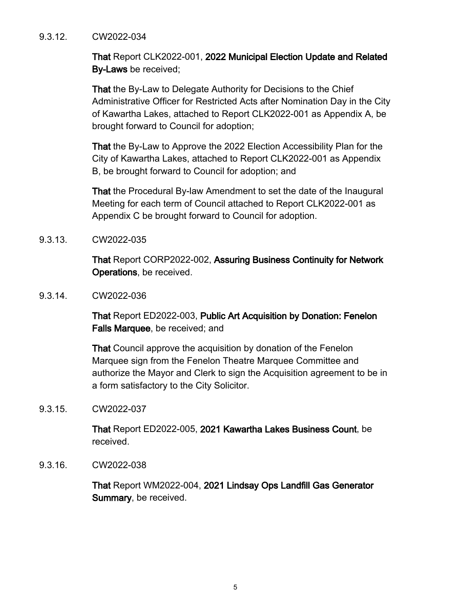#### 9.3.12. CW2022-034

That Report CLK2022-001, 2022 Municipal Election Update and Related By-Laws be received;

That the By-Law to Delegate Authority for Decisions to the Chief Administrative Officer for Restricted Acts after Nomination Day in the City of Kawartha Lakes, attached to Report CLK2022-001 as Appendix A, be brought forward to Council for adoption;

That the By-Law to Approve the 2022 Election Accessibility Plan for the City of Kawartha Lakes, attached to Report CLK2022-001 as Appendix B, be brought forward to Council for adoption; and

That the Procedural By-law Amendment to set the date of the Inaugural Meeting for each term of Council attached to Report CLK2022-001 as Appendix C be brought forward to Council for adoption.

9.3.13. CW2022-035

That Report CORP2022-002, Assuring Business Continuity for Network Operations, be received.

9.3.14. CW2022-036

That Report ED2022-003, Public Art Acquisition by Donation: Fenelon Falls Marquee, be received; and

That Council approve the acquisition by donation of the Fenelon Marquee sign from the Fenelon Theatre Marquee Committee and authorize the Mayor and Clerk to sign the Acquisition agreement to be in a form satisfactory to the City Solicitor.

9.3.15. CW2022-037

That Report ED2022-005, 2021 Kawartha Lakes Business Count, be received.

9.3.16. CW2022-038

That Report WM2022-004, 2021 Lindsay Ops Landfill Gas Generator Summary, be received.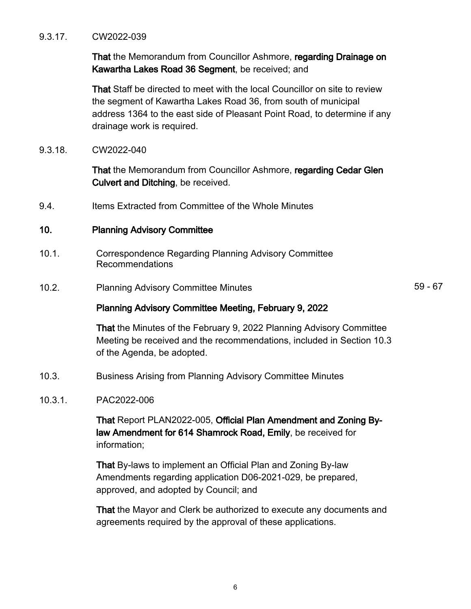#### 9.3.17. CW2022-039

That the Memorandum from Councillor Ashmore, regarding Drainage on Kawartha Lakes Road 36 Segment, be received; and

That Staff be directed to meet with the local Councillor on site to review the segment of Kawartha Lakes Road 36, from south of municipal address 1364 to the east side of Pleasant Point Road, to determine if any drainage work is required.

9.3.18. CW2022-040

That the Memorandum from Councillor Ashmore, regarding Cedar Glen Culvert and Ditching, be received.

9.4. Items Extracted from Committee of the Whole Minutes

#### 10. Planning Advisory Committee

- 10.1. Correspondence Regarding Planning Advisory Committee Recommendations
- 10.2. Planning Advisory Committee Minutes **10.2.** S9 67

#### Planning Advisory Committee Meeting, February 9, 2022

That the Minutes of the February 9, 2022 Planning Advisory Committee Meeting be received and the recommendations, included in Section 10.3 of the Agenda, be adopted.

- 10.3. Business Arising from Planning Advisory Committee Minutes
- 10.3.1. PAC2022-006

That Report PLAN2022-005, Official Plan Amendment and Zoning Bylaw Amendment for 614 Shamrock Road, Emily, be received for information;

That By-laws to implement an Official Plan and Zoning By-law Amendments regarding application D06-2021-029, be prepared, approved, and adopted by Council; and

That the Mayor and Clerk be authorized to execute any documents and agreements required by the approval of these applications.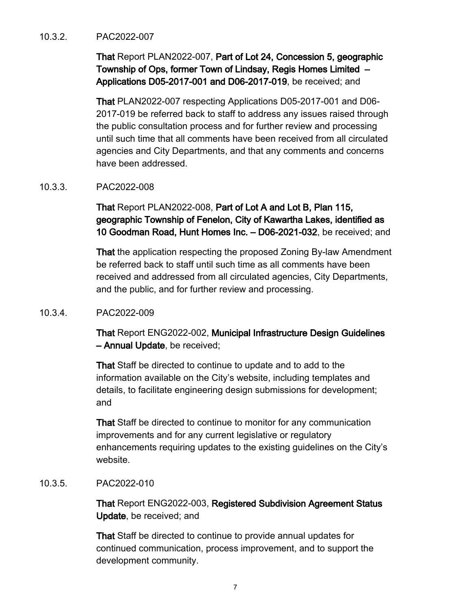#### 10.3.2. PAC2022-007

That Report PLAN2022-007, Part of Lot 24, Concession 5, geographic Township of Ops, former Town of Lindsay, Regis Homes Limited – Applications D05-2017-001 and D06-2017-019, be received; and

That PLAN2022-007 respecting Applications D05-2017-001 and D06- 2017-019 be referred back to staff to address any issues raised through the public consultation process and for further review and processing until such time that all comments have been received from all circulated agencies and City Departments, and that any comments and concerns have been addressed.

#### 10.3.3. PAC2022-008

That Report PLAN2022-008, Part of Lot A and Lot B, Plan 115, geographic Township of Fenelon, City of Kawartha Lakes, identified as 10 Goodman Road, Hunt Homes Inc. – D06-2021-032, be received; and

That the application respecting the proposed Zoning By-law Amendment be referred back to staff until such time as all comments have been received and addressed from all circulated agencies, City Departments, and the public, and for further review and processing.

#### 10.3.4. PAC2022-009

That Report ENG2022-002, Municipal Infrastructure Design Guidelines – Annual Update, be received;

That Staff be directed to continue to update and to add to the information available on the City's website, including templates and details, to facilitate engineering design submissions for development; and

That Staff be directed to continue to monitor for any communication improvements and for any current legislative or regulatory enhancements requiring updates to the existing guidelines on the City's website.

#### 10.3.5. PAC2022-010

That Report ENG2022-003, Registered Subdivision Agreement Status Update, be received; and

That Staff be directed to continue to provide annual updates for continued communication, process improvement, and to support the development community.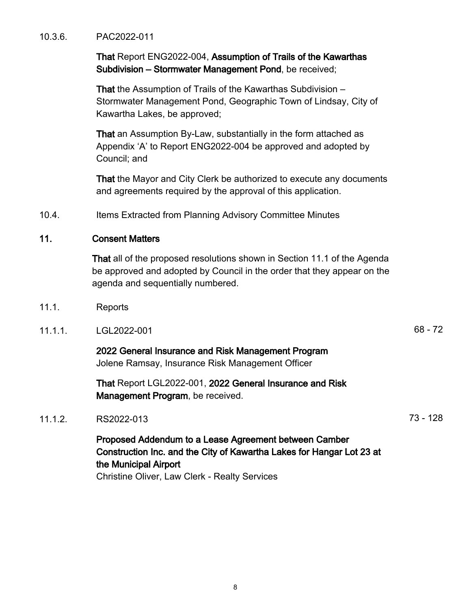#### 10.3.6. PAC2022-011

That Report ENG2022-004, Assumption of Trails of the Kawarthas Subdivision – Stormwater Management Pond, be received;

That the Assumption of Trails of the Kawarthas Subdivision – Stormwater Management Pond, Geographic Town of Lindsay, City of Kawartha Lakes, be approved;

That an Assumption By-Law, substantially in the form attached as Appendix 'A' to Report ENG2022-004 be approved and adopted by Council; and

That the Mayor and City Clerk be authorized to execute any documents and agreements required by the approval of this application.

10.4. Items Extracted from Planning Advisory Committee Minutes

#### 11. Consent Matters

That all of the proposed resolutions shown in Section 11.1 of the Agenda be approved and adopted by Council in the order that they appear on the agenda and sequentially numbered.

- 11.1. Reports
- 11.1.1. LGL2022-001 68 72

2022 General Insurance and Risk Management Program Jolene Ramsay, Insurance Risk Management Officer

That Report LGL2022-001, 2022 General Insurance and Risk Management Program, be received.

# 11.1.2. RS2022-013 73 - 128

Proposed Addendum to a Lease Agreement between Camber Construction Inc. and the City of Kawartha Lakes for Hangar Lot 23 at the Municipal Airport Christine Oliver, Law Clerk - Realty Services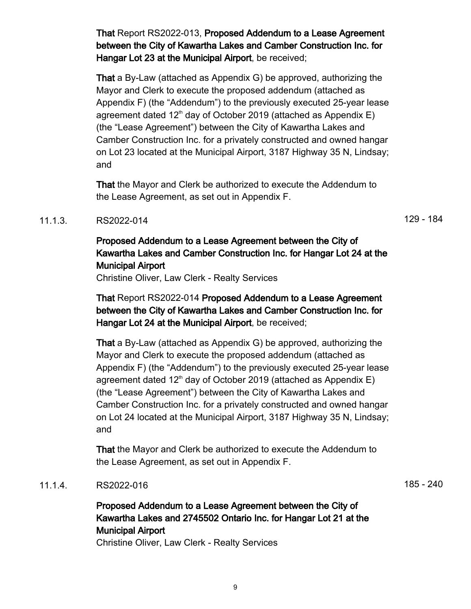That Report RS2022-013, Proposed Addendum to a Lease Agreement between the City of Kawartha Lakes and Camber Construction Inc. for Hangar Lot 23 at the Municipal Airport, be received;

That a By-Law (attached as Appendix G) be approved, authorizing the Mayor and Clerk to execute the proposed addendum (attached as Appendix F) (the "Addendum") to the previously executed 25-year lease agreement dated 12<sup>th</sup> day of October 2019 (attached as Appendix E) (the "Lease Agreement") between the City of Kawartha Lakes and Camber Construction Inc. for a privately constructed and owned hangar on Lot 23 located at the Municipal Airport, 3187 Highway 35 N, Lindsay; and

That the Mayor and Clerk be authorized to execute the Addendum to the Lease Agreement, as set out in Appendix F.

#### 11.1.3. RS2022-014 29 - 184

# Proposed Addendum to a Lease Agreement between the City of Kawartha Lakes and Camber Construction Inc. for Hangar Lot 24 at the Municipal Airport

Christine Oliver, Law Clerk - Realty Services

That Report RS2022-014 Proposed Addendum to a Lease Agreement between the City of Kawartha Lakes and Camber Construction Inc. for Hangar Lot 24 at the Municipal Airport, be received;

That a By-Law (attached as Appendix G) be approved, authorizing the Mayor and Clerk to execute the proposed addendum (attached as Appendix F) (the "Addendum") to the previously executed 25-year lease agreement dated  $12<sup>th</sup>$  day of October 2019 (attached as Appendix E) (the "Lease Agreement") between the City of Kawartha Lakes and Camber Construction Inc. for a privately constructed and owned hangar on Lot 24 located at the Municipal Airport, 3187 Highway 35 N, Lindsay; and

That the Mayor and Clerk be authorized to execute the Addendum to the Lease Agreement, as set out in Appendix F.

# 11.1.4. RS2022-016 240

Proposed Addendum to a Lease Agreement between the City of Kawartha Lakes and 2745502 Ontario Inc. for Hangar Lot 21 at the Municipal Airport

Christine Oliver, Law Clerk - Realty Services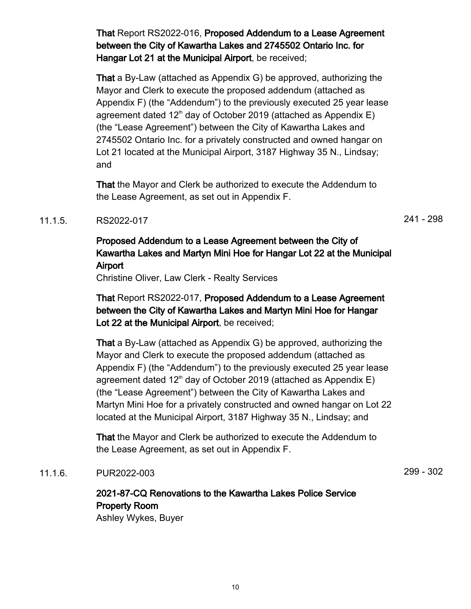That Report RS2022-016, Proposed Addendum to a Lease Agreement between the City of Kawartha Lakes and 2745502 Ontario Inc. for Hangar Lot 21 at the Municipal Airport, be received;

That a By-Law (attached as Appendix G) be approved, authorizing the Mayor and Clerk to execute the proposed addendum (attached as Appendix F) (the "Addendum") to the previously executed 25 year lease agreement dated 12<sup>th</sup> day of October 2019 (attached as Appendix E) (the "Lease Agreement") between the City of Kawartha Lakes and 2745502 Ontario Inc. for a privately constructed and owned hangar on Lot 21 located at the Municipal Airport, 3187 Highway 35 N., Lindsay; and

That the Mayor and Clerk be authorized to execute the Addendum to the Lease Agreement, as set out in Appendix F.

# 11.1.5. RS2022-017 241 - 298

# Proposed Addendum to a Lease Agreement between the City of Kawartha Lakes and Martyn Mini Hoe for Hangar Lot 22 at the Municipal Airport

Christine Oliver, Law Clerk - Realty Services

That Report RS2022-017, Proposed Addendum to a Lease Agreement between the City of Kawartha Lakes and Martyn Mini Hoe for Hangar Lot 22 at the Municipal Airport, be received;

That a By-Law (attached as Appendix G) be approved, authorizing the Mayor and Clerk to execute the proposed addendum (attached as Appendix F) (the "Addendum") to the previously executed 25 year lease agreement dated  $12<sup>th</sup>$  day of October 2019 (attached as Appendix E) (the "Lease Agreement") between the City of Kawartha Lakes and Martyn Mini Hoe for a privately constructed and owned hangar on Lot 22 located at the Municipal Airport, 3187 Highway 35 N., Lindsay; and

That the Mayor and Clerk be authorized to execute the Addendum to the Lease Agreement, as set out in Appendix F.

# 11.1.6. PUR2022-003 299 - 302

2021-87-CQ Renovations to the Kawartha Lakes Police Service Property Room Ashley Wykes, Buyer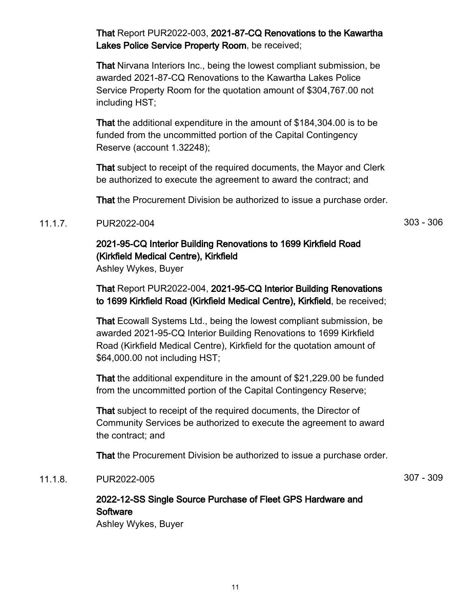That Report PUR2022-003, 2021-87-CQ Renovations to the Kawartha Lakes Police Service Property Room, be received;

That Nirvana Interiors Inc., being the lowest compliant submission, be awarded 2021-87-CQ Renovations to the Kawartha Lakes Police Service Property Room for the quotation amount of \$304,767.00 not including HST;

That the additional expenditure in the amount of \$184,304.00 is to be funded from the uncommitted portion of the Capital Contingency Reserve (account 1.32248);

That subject to receipt of the required documents, the Mayor and Clerk be authorized to execute the agreement to award the contract; and

That the Procurement Division be authorized to issue a purchase order.

# 11.1.7. PUR2022-004 303 - 306

2021-95-CQ Interior Building Renovations to 1699 Kirkfield Road (Kirkfield Medical Centre), Kirkfield

Ashley Wykes, Buyer

That Report PUR2022-004, 2021-95-CQ Interior Building Renovations to 1699 Kirkfield Road (Kirkfield Medical Centre), Kirkfield, be received;

That Ecowall Systems Ltd., being the lowest compliant submission, be awarded 2021-95-CQ Interior Building Renovations to 1699 Kirkfield Road (Kirkfield Medical Centre), Kirkfield for the quotation amount of \$64,000.00 not including HST;

That the additional expenditure in the amount of \$21,229.00 be funded from the uncommitted portion of the Capital Contingency Reserve;

That subject to receipt of the required documents, the Director of Community Services be authorized to execute the agreement to award the contract; and

That the Procurement Division be authorized to issue a purchase order.

## 11.1.8. PUR2022-005 307 - 309

# 2022-12-SS Single Source Purchase of Fleet GPS Hardware and **Software**

Ashley Wykes, Buyer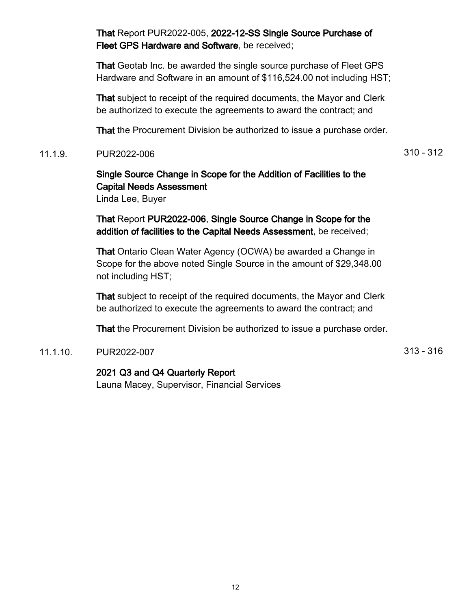That Report PUR2022-005, 2022-12-SS Single Source Purchase of Fleet GPS Hardware and Software, be received;

That Geotab Inc. be awarded the single source purchase of Fleet GPS Hardware and Software in an amount of \$116,524.00 not including HST;

That subject to receipt of the required documents, the Mayor and Clerk be authorized to execute the agreements to award the contract; and

That the Procurement Division be authorized to issue a purchase order.

11.1.9. PUR2022-006 310 - 312

# Single Source Change in Scope for the Addition of Facilities to the Capital Needs Assessment

Linda Lee, Buyer

That Report PUR2022-006, Single Source Change in Scope for the addition of facilities to the Capital Needs Assessment, be received;

That Ontario Clean Water Agency (OCWA) be awarded a Change in Scope for the above noted Single Source in the amount of \$29,348.00 not including HST;

That subject to receipt of the required documents, the Mayor and Clerk be authorized to execute the agreements to award the contract; and

That the Procurement Division be authorized to issue a purchase order.

# 11.1.10. PUR2022-007 313 - 316

# 2021 Q3 and Q4 Quarterly Report

Launa Macey, Supervisor, Financial Services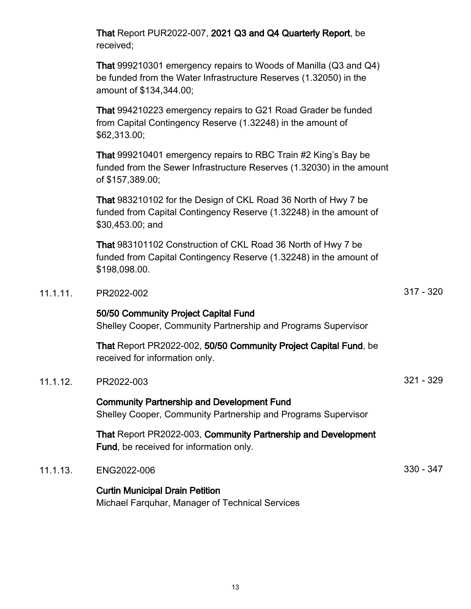|          | That Report PUR2022-007, 2021 Q3 and Q4 Quarterly Report, be<br>received;                                                                                        |             |
|----------|------------------------------------------------------------------------------------------------------------------------------------------------------------------|-------------|
|          | That 999210301 emergency repairs to Woods of Manilla (Q3 and Q4)<br>be funded from the Water Infrastructure Reserves (1.32050) in the<br>amount of \$134,344.00; |             |
|          | That 994210223 emergency repairs to G21 Road Grader be funded<br>from Capital Contingency Reserve (1.32248) in the amount of<br>\$62,313.00;                     |             |
|          | That 999210401 emergency repairs to RBC Train #2 King's Bay be<br>funded from the Sewer Infrastructure Reserves (1.32030) in the amount<br>of \$157,389.00;      |             |
|          | That 983210102 for the Design of CKL Road 36 North of Hwy 7 be<br>funded from Capital Contingency Reserve (1.32248) in the amount of<br>\$30,453.00; and         |             |
|          | That 983101102 Construction of CKL Road 36 North of Hwy 7 be<br>funded from Capital Contingency Reserve (1.32248) in the amount of<br>\$198,098.00.              |             |
| 11.1.11. | PR2022-002                                                                                                                                                       | $317 - 320$ |
|          | 50/50 Community Project Capital Fund<br>Shelley Cooper, Community Partnership and Programs Supervisor                                                            |             |
|          | That Report PR2022-002, 50/50 Community Project Capital Fund, be<br>received for information only.                                                               |             |
| 11.1.12. | PR2022-003                                                                                                                                                       | $321 - 329$ |
|          | <b>Community Partnership and Development Fund</b><br>Shelley Cooper, Community Partnership and Programs Supervisor                                               |             |
|          | That Report PR2022-003, Community Partnership and Development<br>Fund, be received for information only.                                                         |             |
| 11.1.13. | ENG2022-006                                                                                                                                                      | $330 - 347$ |
|          | <b>Curtin Municipal Drain Petition</b>                                                                                                                           |             |

Michael Farquhar, Manager of Technical Services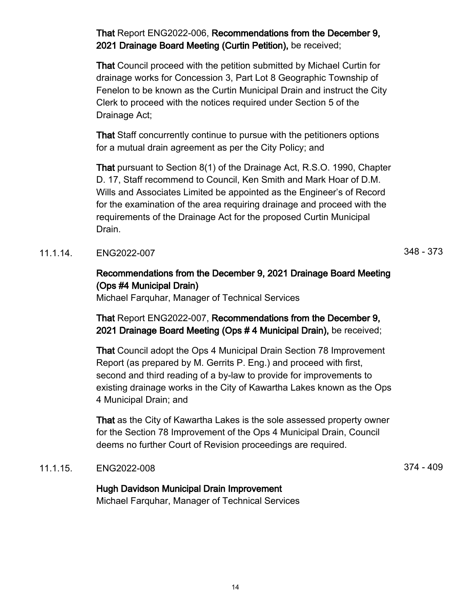That Report ENG2022-006, Recommendations from the December 9, 2021 Drainage Board Meeting (Curtin Petition), be received;

That Council proceed with the petition submitted by Michael Curtin for drainage works for Concession 3, Part Lot 8 Geographic Township of Fenelon to be known as the Curtin Municipal Drain and instruct the City Clerk to proceed with the notices required under Section 5 of the Drainage Act;

That Staff concurrently continue to pursue with the petitioners options for a mutual drain agreement as per the City Policy; and

That pursuant to Section 8(1) of the Drainage Act, R.S.O. 1990, Chapter D. 17, Staff recommend to Council, Ken Smith and Mark Hoar of D.M. Wills and Associates Limited be appointed as the Engineer's of Record for the examination of the area requiring drainage and proceed with the requirements of the Drainage Act for the proposed Curtin Municipal Drain.

11.1.14. ENG2022-007 348 - 373

# Recommendations from the December 9, 2021 Drainage Board Meeting (Ops #4 Municipal Drain)

Michael Farquhar, Manager of Technical Services

That Report ENG2022-007, Recommendations from the December 9, 2021 Drainage Board Meeting (Ops # 4 Municipal Drain), be received;

That Council adopt the Ops 4 Municipal Drain Section 78 Improvement Report (as prepared by M. Gerrits P. Eng.) and proceed with first, second and third reading of a by-law to provide for improvements to existing drainage works in the City of Kawartha Lakes known as the Ops 4 Municipal Drain; and

That as the City of Kawartha Lakes is the sole assessed property owner for the Section 78 Improvement of the Ops 4 Municipal Drain, Council deems no further Court of Revision proceedings are required.

# 11.1.15. ENG2022-008 374 - 409

#### Hugh Davidson Municipal Drain Improvement

Michael Farquhar, Manager of Technical Services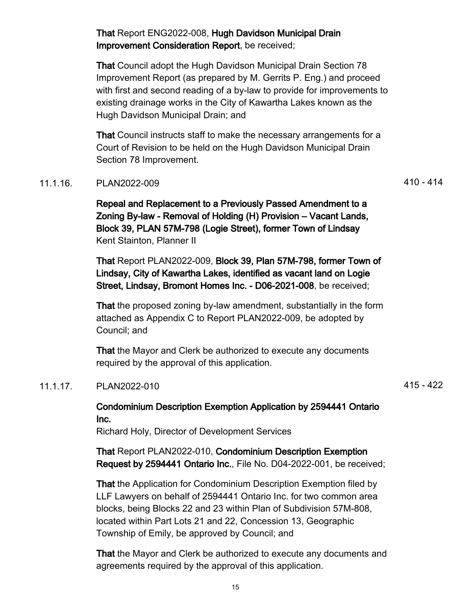That Report ENG2022-008, Hugh Davidson Municipal Drain Improvement Consideration Report, be received;

That Council adopt the Hugh Davidson Municipal Drain Section 78 Improvement Report (as prepared by M. Gerrits P. Eng.) and proceed with first and second reading of a by-law to provide for improvements to existing drainage works in the City of Kawartha Lakes known as the Hugh Davidson Municipal Drain; and

That Council instructs staff to make the necessary arrangements for a Court of Revision to be held on the Hugh Davidson Municipal Drain Section 78 Improvement.

# 11.1.16. PLAN2022-009 410 - 414

Repeal and Replacement to a Previously Passed Amendment to a Zoning By-law - Removal of Holding (H) Provision – Vacant Lands, Block 39, PLAN 57M-798 (Logie Street), former Town of Lindsay Kent Stainton, Planner II

That Report PLAN2022-009, Block 39, Plan 57M-798, former Town of Lindsay, City of Kawartha Lakes, identified as vacant land on Logie Street, Lindsay, Bromont Homes Inc. - D06-2021-008, be received;

That the proposed zoning by-law amendment, substantially in the form attached as Appendix C to Report PLAN2022-009, be adopted by Council; and

That the Mayor and Clerk be authorized to execute any documents required by the approval of this application.

# 11.1.17. PLAN2022-010 415 - 422

Condominium Description Exemption Application by 2594441 Ontario Inc.

Richard Holy, Director of Development Services

That Report PLAN2022-010, Condominium Description Exemption Request by 2594441 Ontario Inc., File No. D04-2022-001, be received;

That the Application for Condominium Description Exemption filed by LLF Lawyers on behalf of 2594441 Ontario Inc. for two common area blocks, being Blocks 22 and 23 within Plan of Subdivision 57M-808, located within Part Lots 21 and 22, Concession 13, Geographic Township of Emily, be approved by Council; and

That the Mayor and Clerk be authorized to execute any documents and agreements required by the approval of this application.

15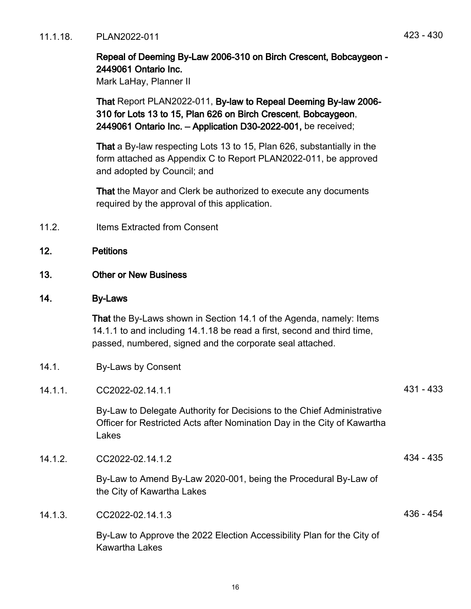11.1.18. PLAN2022-011 423 - 430

# Repeal of Deeming By-Law 2006-310 on Birch Crescent, Bobcaygeon - 2449061 Ontario Inc.

Mark LaHay, Planner II

That Report PLAN2022-011, By-law to Repeal Deeming By-law 2006- 310 for Lots 13 to 15, Plan 626 on Birch Crescent, Bobcaygeon, 2449061 Ontario Inc. – Application D30-2022-001, be received;

That a By-law respecting Lots 13 to 15, Plan 626, substantially in the form attached as Appendix C to Report PLAN2022-011, be approved and adopted by Council; and

That the Mayor and Clerk be authorized to execute any documents required by the approval of this application.

11.2. Items Extracted from Consent

# 12. Petitions

13. Other or New Business

#### 14. By-Laws

That the By-Laws shown in Section 14.1 of the Agenda, namely: Items 14.1.1 to and including 14.1.18 be read a first, second and third time, passed, numbered, signed and the corporate seal attached.

- 14.1. By-Laws by Consent
- 14.1.1. CC2022-02.14.1.1 431 433

By-Law to Delegate Authority for Decisions to the Chief Administrative Officer for Restricted Acts after Nomination Day in the City of Kawartha Lakes

14.1.2 CC2022-02.14.1.2 434 - 435

By-Law to Amend By-Law 2020-001, being the Procedural By-Law of the City of Kawartha Lakes

14.1.3. CC2022-02.14.1.3 436 - 454

By-Law to Approve the 2022 Election Accessibility Plan for the City of Kawartha Lakes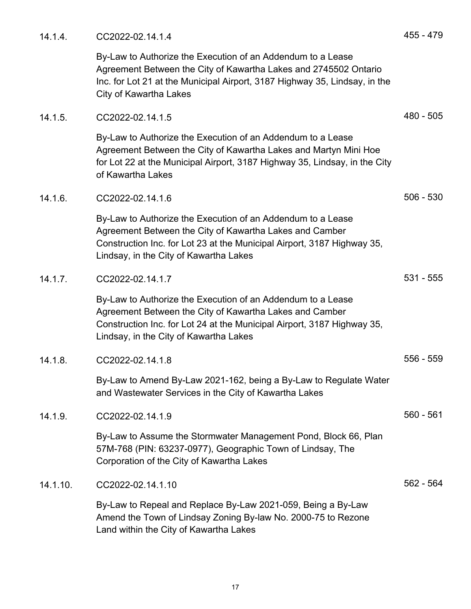14.1.4. CC2022-02.14.1.4 455 - 479

By-Law to Authorize the Execution of an Addendum to a Lease Agreement Between the City of Kawartha Lakes and 2745502 Ontario Inc. for Lot 21 at the Municipal Airport, 3187 Highway 35, Lindsay, in the City of Kawartha Lakes

| 14.1.5.  | CC2022-02.14.1.5                                                                                                                                                                                                                            | 480 - 505   |
|----------|---------------------------------------------------------------------------------------------------------------------------------------------------------------------------------------------------------------------------------------------|-------------|
|          | By-Law to Authorize the Execution of an Addendum to a Lease<br>Agreement Between the City of Kawartha Lakes and Martyn Mini Hoe<br>for Lot 22 at the Municipal Airport, 3187 Highway 35, Lindsay, in the City<br>of Kawartha Lakes          |             |
| 14.1.6.  | CC2022-02.14.1.6                                                                                                                                                                                                                            | $506 - 530$ |
|          | By-Law to Authorize the Execution of an Addendum to a Lease<br>Agreement Between the City of Kawartha Lakes and Camber<br>Construction Inc. for Lot 23 at the Municipal Airport, 3187 Highway 35,<br>Lindsay, in the City of Kawartha Lakes |             |
| 14.1.7.  | CC2022-02.14.1.7                                                                                                                                                                                                                            | $531 - 555$ |
|          | By-Law to Authorize the Execution of an Addendum to a Lease<br>Agreement Between the City of Kawartha Lakes and Camber<br>Construction Inc. for Lot 24 at the Municipal Airport, 3187 Highway 35,<br>Lindsay, in the City of Kawartha Lakes |             |
| 14.1.8.  | CC2022-02.14.1.8                                                                                                                                                                                                                            | $556 - 559$ |
|          | By-Law to Amend By-Law 2021-162, being a By-Law to Regulate Water<br>and Wastewater Services in the City of Kawartha Lakes                                                                                                                  |             |
| 14.1.9.  | CC2022-02.14.1.9                                                                                                                                                                                                                            | $560 - 561$ |
|          | By-Law to Assume the Stormwater Management Pond, Block 66, Plan<br>57M-768 (PIN: 63237-0977), Geographic Town of Lindsay, The<br>Corporation of the City of Kawartha Lakes                                                                  |             |
| 14.1.10. | CC2022-02.14.1.10                                                                                                                                                                                                                           | 562 - 564   |
|          | By-Law to Repeal and Replace By-Law 2021-059, Being a By-Law<br>Amend the Town of Lindsay Zoning By-law No. 2000-75 to Rezone<br>Land within the City of Kawartha Lakes                                                                     |             |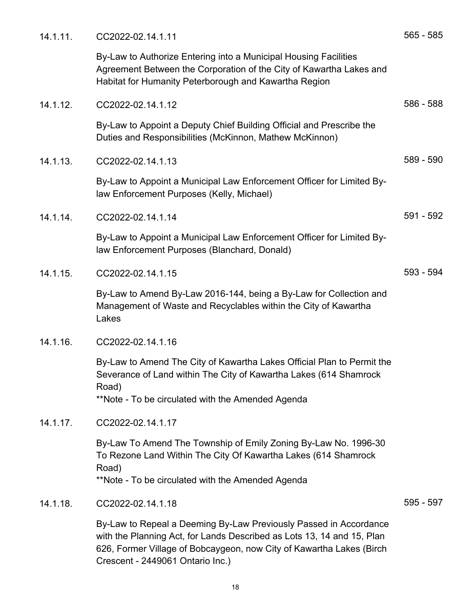| 14.1.11. | CC2022-02.14.1.11                                                                                                                                                                                                                                       | $565 - 585$ |
|----------|---------------------------------------------------------------------------------------------------------------------------------------------------------------------------------------------------------------------------------------------------------|-------------|
|          | By-Law to Authorize Entering into a Municipal Housing Facilities<br>Agreement Between the Corporation of the City of Kawartha Lakes and<br>Habitat for Humanity Peterborough and Kawartha Region                                                        |             |
| 14.1.12. | CC2022-02.14.1.12                                                                                                                                                                                                                                       | 586 - 588   |
|          | By-Law to Appoint a Deputy Chief Building Official and Prescribe the<br>Duties and Responsibilities (McKinnon, Mathew McKinnon)                                                                                                                         |             |
| 14.1.13. | CC2022-02.14.1.13                                                                                                                                                                                                                                       | 589 - 590   |
|          | By-Law to Appoint a Municipal Law Enforcement Officer for Limited By-<br>law Enforcement Purposes (Kelly, Michael)                                                                                                                                      |             |
| 14.1.14. | CC2022-02.14.1.14                                                                                                                                                                                                                                       | 591 - 592   |
|          | By-Law to Appoint a Municipal Law Enforcement Officer for Limited By-<br>law Enforcement Purposes (Blanchard, Donald)                                                                                                                                   |             |
| 14.1.15. | CC2022-02.14.1.15                                                                                                                                                                                                                                       | 593 - 594   |
|          | By-Law to Amend By-Law 2016-144, being a By-Law for Collection and<br>Management of Waste and Recyclables within the City of Kawartha<br>Lakes                                                                                                          |             |
| 14.1.16. | CC2022-02.14.1.16                                                                                                                                                                                                                                       |             |
|          | By-Law to Amend The City of Kawartha Lakes Official Plan to Permit the<br>Severance of Land within The City of Kawartha Lakes (614 Shamrock<br>Road)<br>**Note - To be circulated with the Amended Agenda                                               |             |
| 14.1.17. | CC2022-02.14.1.17                                                                                                                                                                                                                                       |             |
|          | By-Law To Amend The Township of Emily Zoning By-Law No. 1996-30<br>To Rezone Land Within The City Of Kawartha Lakes (614 Shamrock<br>Road)<br>**Note - To be circulated with the Amended Agenda                                                         |             |
| 14.1.18. | CC2022-02.14.1.18                                                                                                                                                                                                                                       | 595 - 597   |
|          | By-Law to Repeal a Deeming By-Law Previously Passed in Accordance<br>with the Planning Act, for Lands Described as Lots 13, 14 and 15, Plan<br>626, Former Village of Bobcaygeon, now City of Kawartha Lakes (Birch<br>Crescent - 2449061 Ontario Inc.) |             |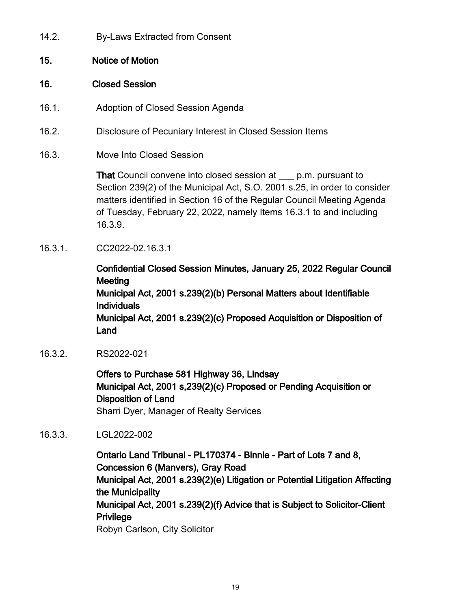14.2. By-Laws Extracted from Consent

# 15. Notice of Motion

#### 16. Closed Session

- 16.1. Adoption of Closed Session Agenda
- 16.2. Disclosure of Pecuniary Interest in Closed Session Items
- 16.3. Move Into Closed Session

That Council convene into closed session at \_\_\_ p.m. pursuant to Section 239(2) of the Municipal Act, S.O. 2001 s.25, in order to consider matters identified in Section 16 of the Regular Council Meeting Agenda of Tuesday, February 22, 2022, namely Items 16.3.1 to and including 16.3.9.

16.3.1. CC2022-02.16.3.1

Confidential Closed Session Minutes, January 25, 2022 Regular Council **Meeting** Municipal Act, 2001 s.239(2)(b) Personal Matters about Identifiable Individuals Municipal Act, 2001 s.239(2)(c) Proposed Acquisition or Disposition of Land

16.3.2. RS2022-021

Offers to Purchase 581 Highway 36, Lindsay Municipal Act, 2001 s,239(2)(c) Proposed or Pending Acquisition or Disposition of Land Sharri Dyer, Manager of Realty Services

16.3.3. LGL2022-002

Ontario Land Tribunal - PL170374 - Binnie - Part of Lots 7 and 8, Concession 6 (Manvers), Gray Road Municipal Act, 2001 s.239(2)(e) Litigation or Potential Litigation Affecting the Municipality Municipal Act, 2001 s.239(2)(f) Advice that is Subject to Solicitor-Client **Privilege** Robyn Carlson, City Solicitor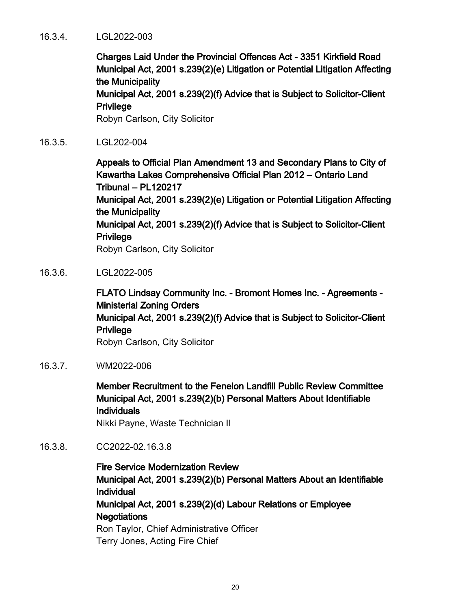#### 16.3.4. LGL2022-003

Charges Laid Under the Provincial Offences Act - 3351 Kirkfield Road Municipal Act, 2001 s.239(2)(e) Litigation or Potential Litigation Affecting the Municipality

Municipal Act, 2001 s.239(2)(f) Advice that is Subject to Solicitor-Client **Privilege** 

Robyn Carlson, City Solicitor

16.3.5. LGL202-004

Appeals to Official Plan Amendment 13 and Secondary Plans to City of Kawartha Lakes Comprehensive Official Plan 2012 – Ontario Land Tribunal – PL120217

Municipal Act, 2001 s.239(2)(e) Litigation or Potential Litigation Affecting the Municipality

Municipal Act, 2001 s.239(2)(f) Advice that is Subject to Solicitor-Client Privilege

Robyn Carlson, City Solicitor

16.3.6. LGL2022-005

FLATO Lindsay Community Inc. - Bromont Homes Inc. - Agreements - Ministerial Zoning Orders Municipal Act, 2001 s.239(2)(f) Advice that is Subject to Solicitor-Client Privilege Robyn Carlson, City Solicitor

16.3.7. WM2022-006

Member Recruitment to the Fenelon Landfill Public Review Committee Municipal Act, 2001 s.239(2)(b) Personal Matters About Identifiable **Individuals** 

Nikki Payne, Waste Technician II

16.3.8. CC2022-02.16.3.8

Fire Service Modernization Review Municipal Act, 2001 s.239(2)(b) Personal Matters About an Identifiable Individual Municipal Act, 2001 s.239(2)(d) Labour Relations or Employee **Negotiations** Ron Taylor, Chief Administrative Officer

Terry Jones, Acting Fire Chief